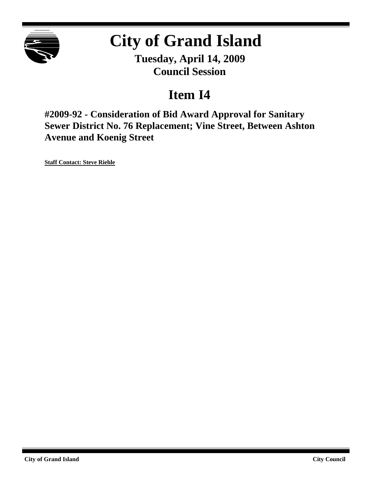

# **City of Grand Island**

**Tuesday, April 14, 2009 Council Session**

### **Item I4**

**#2009-92 - Consideration of Bid Award Approval for Sanitary Sewer District No. 76 Replacement; Vine Street, Between Ashton Avenue and Koenig Street**

**Staff Contact: Steve Riehle**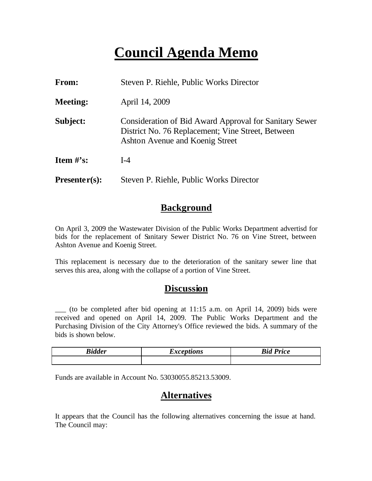## **Council Agenda Memo**

| From:           | Steven P. Riehle, Public Works Director                                                                                                        |  |  |
|-----------------|------------------------------------------------------------------------------------------------------------------------------------------------|--|--|
| <b>Meeting:</b> | April 14, 2009                                                                                                                                 |  |  |
| Subject:        | Consideration of Bid Award Approval for Sanitary Sewer<br>District No. 76 Replacement; Vine Street, Between<br>Ashton Avenue and Koenig Street |  |  |
| Item $\#$ 's:   | $I-4$                                                                                                                                          |  |  |
| $Presenter(s):$ | Steven P. Riehle, Public Works Director                                                                                                        |  |  |

#### **Background**

On April 3, 2009 the Wastewater Division of the Public Works Department advertisd for bids for the replacement of Sanitary Sewer District No. 76 on Vine Street, between Ashton Avenue and Koenig Street.

This replacement is necessary due to the deterioration of the sanitary sewer line that serves this area, along with the collapse of a portion of Vine Street.

#### **Discussion**

\_\_\_ (to be completed after bid opening at 11:15 a.m. on April 14, 2009) bids were received and opened on April 14, 2009. The Public Works Department and the Purchasing Division of the City Attorney's Office reviewed the bids. A summary of the bids is shown below.

| <b>Bidder</b> | <i>Exceptions</i> | <b>Bid Price</b> |
|---------------|-------------------|------------------|
|               |                   |                  |

Funds are available in Account No. 53030055.85213.53009.

#### **Alternatives**

It appears that the Council has the following alternatives concerning the issue at hand. The Council may: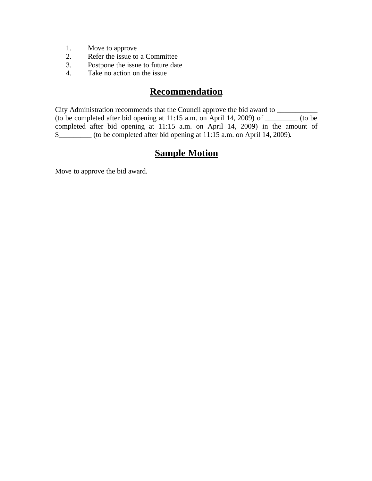- 1. Move to approve
- 2. Refer the issue to a Committee
- 3. Postpone the issue to future date
- 4. Take no action on the issue

### **Recommendation**

City Administration recommends that the Council approve the bid award to \_\_\_\_\_\_\_\_ (to be completed after bid opening at  $11:15$  a.m. on April 14, 2009) of \_\_\_\_\_\_\_\_\_ (to be completed after bid opening at 11:15 a.m. on April 14, 2009) in the amount of \$\_\_\_\_\_\_\_\_\_ (to be completed after bid opening at 11:15 a.m. on April 14, 2009).

#### **Sample Motion**

Move to approve the bid award.